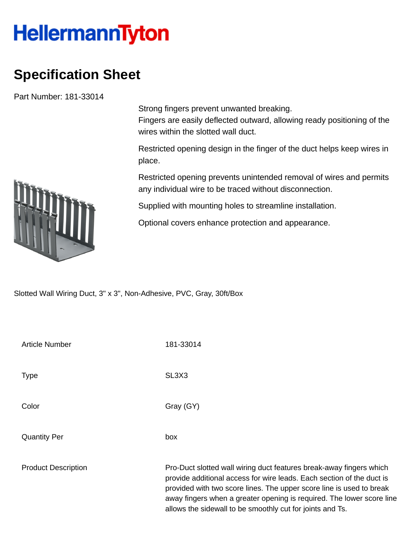## **HellermannTyton**

## **Specification Sheet**

Part Number: 181-33014

Strong fingers prevent unwanted breaking.

Fingers are easily deflected outward, allowing ready positioning of the wires within the slotted wall duct.

Restricted opening design in the finger of the duct helps keep wires in place.

Restricted opening prevents unintended removal of wires and permits any individual wire to be traced without disconnection.

Supplied with mounting holes to streamline installation.

Optional covers enhance protection and appearance.

Slotted Wall Wiring Duct, 3" x 3", Non-Adhesive, PVC, Gray, 30ft/Box

| <b>Article Number</b>      | 181-33014                                                                                                                                                                                                                                                                                                                                                  |  |  |
|----------------------------|------------------------------------------------------------------------------------------------------------------------------------------------------------------------------------------------------------------------------------------------------------------------------------------------------------------------------------------------------------|--|--|
| Type                       | SL <sub>3</sub> X <sub>3</sub>                                                                                                                                                                                                                                                                                                                             |  |  |
| Color                      | Gray (GY)                                                                                                                                                                                                                                                                                                                                                  |  |  |
| <b>Quantity Per</b>        | box                                                                                                                                                                                                                                                                                                                                                        |  |  |
| <b>Product Description</b> | Pro-Duct slotted wall wiring duct features break-away fingers which<br>provide additional access for wire leads. Each section of the duct is<br>provided with two score lines. The upper score line is used to break<br>away fingers when a greater opening is required. The lower score line<br>allows the sidewall to be smoothly cut for joints and Ts. |  |  |

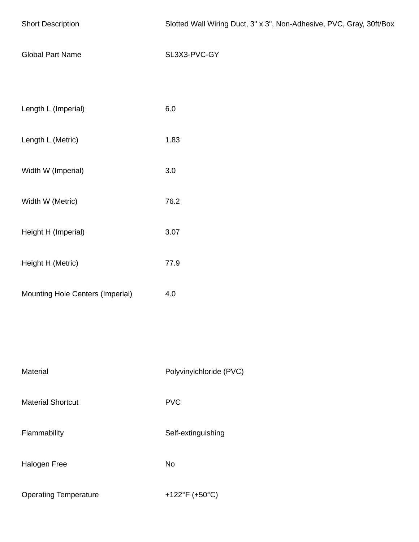| <b>Short Description</b>         | Slotted Wall Wiring Duct, 3" x 3", Non-Adhesive, PVC, Gray, 30ft/Box |  |  |  |  |
|----------------------------------|----------------------------------------------------------------------|--|--|--|--|
| <b>Global Part Name</b>          | SL3X3-PVC-GY                                                         |  |  |  |  |
|                                  |                                                                      |  |  |  |  |
| Length L (Imperial)              | $6.0\,$                                                              |  |  |  |  |
| Length L (Metric)                | 1.83                                                                 |  |  |  |  |
| Width W (Imperial)               | $3.0\,$                                                              |  |  |  |  |
| Width W (Metric)                 | 76.2                                                                 |  |  |  |  |
| Height H (Imperial)              | 3.07                                                                 |  |  |  |  |
| Height H (Metric)                | 77.9                                                                 |  |  |  |  |
| Mounting Hole Centers (Imperial) | 4.0                                                                  |  |  |  |  |
|                                  |                                                                      |  |  |  |  |
|                                  |                                                                      |  |  |  |  |
| Material                         | Polyvinylchloride (PVC)                                              |  |  |  |  |
| <b>Material Shortcut</b>         | <b>PVC</b>                                                           |  |  |  |  |
| Flammability                     | Self-extinguishing                                                   |  |  |  |  |
| Halogen Free                     | No                                                                   |  |  |  |  |
| <b>Operating Temperature</b>     | +122°F (+50°C)                                                       |  |  |  |  |